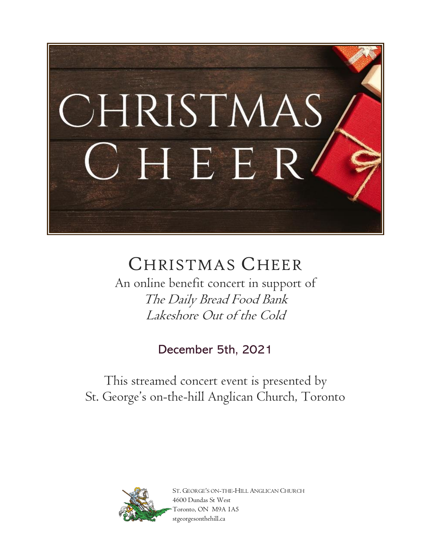

# CHRISTMAS CHEER

An online benefit concert in support of The Daily Bread Food Bank Lakeshore Out of the Cold

December 5th, 2021

This streamed concert event is presented by St. George's on-the-hill Anglican Church, Toronto



ST. GEORGE'S ON-THE-HILL ANGLICAN CHURCH 4600 Dundas St West Toronto, ON M9A 1A5 stgeorgesonthehill.ca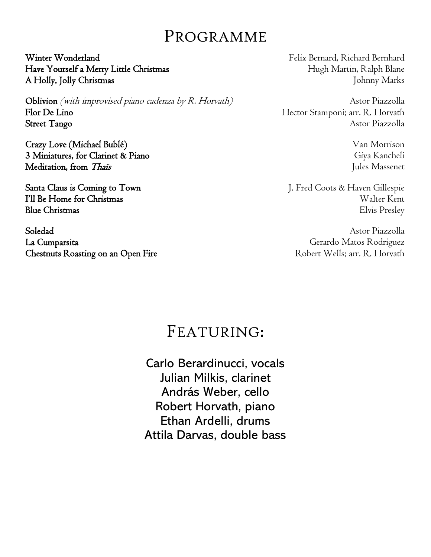# PROGRAMME

Winter Wonderland Felix Bernard, Richard Bernhard Have Yourself a Merry Little Christmas Hugh Martin, Ralph Blane A Holly, Jolly Christmas And The Second Second Second Second Second Second Second Second Second Second Second Second Second Second Second Second Second Second Second Second Second Second Second Second Second Second Second

Oblivion *(with improvised piano cadenza by R. Horvath)* Astor Piazzolla Flor De Lino Hector Stamponi; arr. R. Horvath Street Tango Astor Piazzolla

Crazy Love (Michael Bublé) Van Morrison 3 Miniatures, for Clarinet & Piano Giya Kancheli Meditation, from Thais Jules Massenet

Soledad Astor Piazzolla La Cumparsita Gerardo Matos Rodriguez Chestnuts Roasting on an Open Fire Robert Wells; arr. R. Horvath

Santa Claus is Coming to Town J. Fred Coots & Haven Gillespie **I'll Be Home for Christmas** Walter Kent Blue Christmas Elvis Presley

# FEATURING:

Carlo Berardinucci, vocals Julian Milkis, clarinet András Weber, cello Robert Horvath, piano Ethan Ardelli, drums Attila Darvas, double bass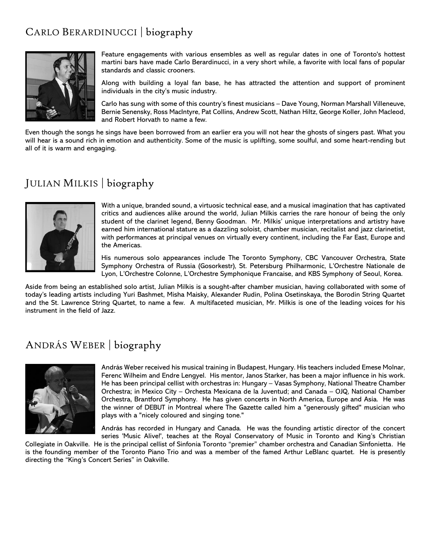### CARLO BERARDINUCCI | biography



Feature engagements with various ensembles as well as regular dates in one of Toronto's hottest martini bars have made Carlo Berardinucci, in a very short while, a favorite with local fans of popular standards and classic crooners.

Along with building a loyal fan base, he has attracted the attention and support of prominent individuals in the city's music industry.

Carlo has sung with some of this country's finest musicians – Dave Young, Norman Marshall Villeneuve, Bernie Senensky, Ross MacIntyre, Pat Collins, Andrew Scott, Nathan Hiltz, George Koller, John Macleod, and Robert Horvath to name a few.

Even though the songs he sings have been borrowed from an earlier era you will not hear the ghosts of singers past. What you will hear is a sound rich in emotion and authenticity. Some of the music is uplifting, some soulful, and some heart-rending but all of it is warm and engaging.

#### JULIAN MILKIS | biography



With a unique, branded sound, a virtuosic technical ease, and a musical imagination that has captivated critics and audiences alike around the world, Julian Milkis carries the rare honour of being the only student of the clarinet legend, Benny Goodman. Mr. Milkis' unique interpretations and artistry have earned him international stature as a dazzling soloist, chamber musician, recitalist and jazz clarinetist, with performances at principal venues on virtually every continent, including the Far East, Europe and the Americas.

His numerous solo appearances include The Toronto Symphony, CBC Vancouver Orchestra, State Symphony Orchestra of Russia (Gosorkestr), St. Petersburg Philharmonic, L'Orchestre Nationale de Lyon, L'Orchestre Colonne, L'Orchestre Symphonique Francaise, and KBS Symphony of Seoul, Korea.

Aside from being an established solo artist, Julian Milkis is a sought-after chamber musician, having collaborated with some of today's leading artists including Yuri Bashmet, Misha Maisky, Alexander Rudin, Polina Osetinskaya, the Borodin String Quartet and the St. Lawrence String Quartet, to name a few. A multifaceted musician, Mr. Milkis is one of the leading voices for his instrument in the field of Jazz.

#### ANDRÁS WEBER | biography



András Weber received his musical training in Budapest, Hungary. His teachers included Emese Molnar, Ferenc Wilheim and Endre Lengyel. His mentor, Janos Starker, has been a major influence in his work. He has been principal cellist with orchestras in: Hungary – Vasas Symphony, National Theatre Chamber Orchestra; in Mexico City – Orchesta Mexicana de la Juventud; and Canada – OJQ, National Chamber Orchestra, Brantford Symphony. He has given concerts in North America, Europe and Asia. He was the winner of DEBUT in Montreal where The Gazette called him a "generously gifted" musician who plays with a "nicely coloured and singing tone."

András has recorded in Hungary and Canada. He was the founding artistic director of the concert series 'Music Alive!', teaches at the Royal Conservatory of Music in Toronto and King's Christian

Collegiate in Oakville. He is the principal cellist of Sinfonia Toronto "premier" chamber orchestra and Canadian Sinfonietta. He is the founding member of the Toronto Piano Trio and was a member of the famed Arthur LeBlanc quartet. He is presently directing the "King's Concert Series" in Oakville.